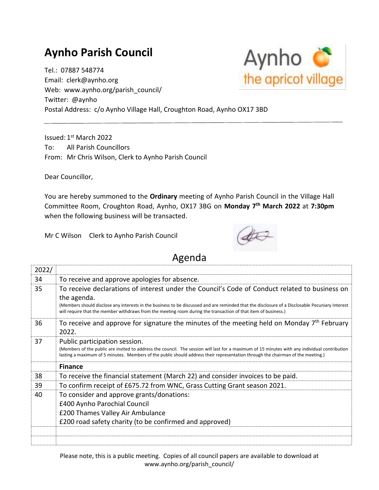## **Aynho Parish Council**

Tel.: 07887 548774 Email: clerk@aynho.org Web: www.aynho.org/parish\_council/ Twitter: @aynho Postal Address: c/o Aynho Village Hall, Croughton Road, Aynho OX17 3BD

Issued: 1st March 2022 To: All Parish Councillors From: Mr Chris Wilson, Clerk to Aynho Parish Council

Dear Councillor,

You are hereby summoned to the **Ordinary** meeting of Aynho Parish Council in the Village Hall Committee Room, Croughton Road, Aynho, OX17 3BG on **Monday 7 th March 2022** at **7:30pm** when the following business will be transacted.

Mr C Wilson Clerk to Aynho Parish Council



## Agenda

| 2022/ |                                                                                                                                                                                                                                                                                                                                                                                    |
|-------|------------------------------------------------------------------------------------------------------------------------------------------------------------------------------------------------------------------------------------------------------------------------------------------------------------------------------------------------------------------------------------|
| 34    | To receive and approve apologies for absence.                                                                                                                                                                                                                                                                                                                                      |
| 35    | To receive declarations of interest under the Council's Code of Conduct related to business on<br>the agenda.<br>(Members should disclose any interests in the business to be discussed and are reminded that the disclosure of a Disclosable Pecuniary Interest<br>will require that the member withdraws from the meeting room during the transaction of that item of business.) |
| 36    | To receive and approve for signature the minutes of the meeting held on Monday $7th$ February<br>2022.                                                                                                                                                                                                                                                                             |
| 37    | Public participation session.<br>(Members of the public are invited to address the council. The session will last for a maximum of 15 minutes with any individual contribution<br>lasting a maximum of 5 minutes. Members of the public should address their representation through the chairman of the meeting.)                                                                  |
|       | <b>Finance</b>                                                                                                                                                                                                                                                                                                                                                                     |
| 38    | To receive the financial statement (March 22) and consider invoices to be paid.                                                                                                                                                                                                                                                                                                    |
| 39    | To confirm receipt of £675.72 from WNC, Grass Cutting Grant season 2021.                                                                                                                                                                                                                                                                                                           |
| 40    | To consider and approve grants/donations:<br>£400 Aynho Parochial Council<br>£200 Thames Valley Air Ambulance<br>£200 road safety charity (to be confirmed and approved)                                                                                                                                                                                                           |
|       |                                                                                                                                                                                                                                                                                                                                                                                    |

Please note, this is a public meeting. Copies of all council papers are available to download at www.aynho.org/parish\_council/